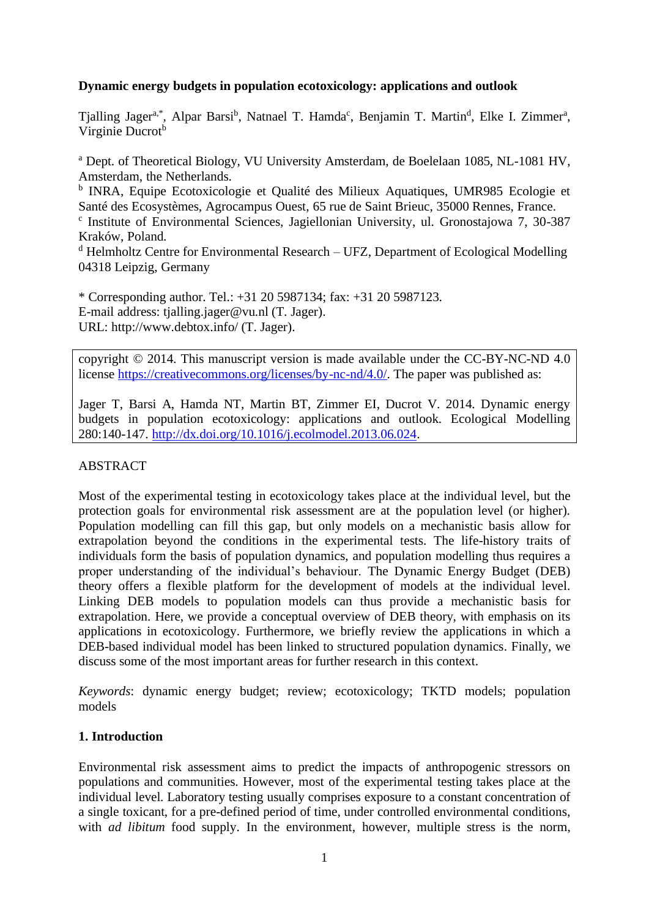### **Dynamic energy budgets in population ecotoxicology: applications and outlook**

Tjalling Jager<sup>a,\*</sup>, Alpar Barsi<sup>b</sup>, Natnael T. Hamda<sup>c</sup>, Benjamin T. Martin<sup>d</sup>, Elke I. Zimmer<sup>a</sup>, Virginie Ducrot<sup>b</sup>

<sup>a</sup> Dept. of Theoretical Biology, VU University Amsterdam, de Boelelaan 1085, NL-1081 HV, Amsterdam, the Netherlands.

<sup>b</sup> INRA, Equipe Ecotoxicologie et Qualité des Milieux Aquatiques, UMR985 Ecologie et Santé des Ecosystèmes, Agrocampus Ouest, 65 rue de Saint Brieuc, 35000 Rennes, France. c Institute of Environmental Sciences, Jagiellonian University, ul. Gronostajowa 7, 30-387 Kraków, Poland.

 $d$  Helmholtz Centre for Environmental Research – UFZ, Department of Ecological Modelling 04318 Leipzig, Germany

\* Corresponding author. Tel.: +31 20 5987134; fax: +31 20 5987123. E-mail address: tjalling.jager@vu.nl (T. Jager). URL: http://www.debtox.info/ (T. Jager).

copyright © 2014. This manuscript version is made available under the CC-BY-NC-ND 4.0 license [https://creativecommons.org/licenses/by-nc-nd/4.0/.](https://creativecommons.org/licenses/by-nc-nd/4.0/) The paper was published as:

Jager T, Barsi A, Hamda NT, Martin BT, Zimmer EI, Ducrot V. 2014. Dynamic energy budgets in population ecotoxicology: applications and outlook. Ecological Modelling 280:140-147. [http://dx.doi.org/10.1016/j.ecolmodel.2013.06.024.](http://dx.doi.org/10.1016/j.ecolmodel.2013.06.024)

# ABSTRACT

Most of the experimental testing in ecotoxicology takes place at the individual level, but the protection goals for environmental risk assessment are at the population level (or higher). Population modelling can fill this gap, but only models on a mechanistic basis allow for extrapolation beyond the conditions in the experimental tests. The life-history traits of individuals form the basis of population dynamics, and population modelling thus requires a proper understanding of the individual's behaviour. The Dynamic Energy Budget (DEB) theory offers a flexible platform for the development of models at the individual level. Linking DEB models to population models can thus provide a mechanistic basis for extrapolation. Here, we provide a conceptual overview of DEB theory, with emphasis on its applications in ecotoxicology. Furthermore, we briefly review the applications in which a DEB-based individual model has been linked to structured population dynamics. Finally, we discuss some of the most important areas for further research in this context.

*Keywords*: dynamic energy budget; review; ecotoxicology; TKTD models; population models

### **1. Introduction**

Environmental risk assessment aims to predict the impacts of anthropogenic stressors on populations and communities. However, most of the experimental testing takes place at the individual level. Laboratory testing usually comprises exposure to a constant concentration of a single toxicant, for a pre-defined period of time, under controlled environmental conditions, with *ad libitum* food supply. In the environment, however, multiple stress is the norm,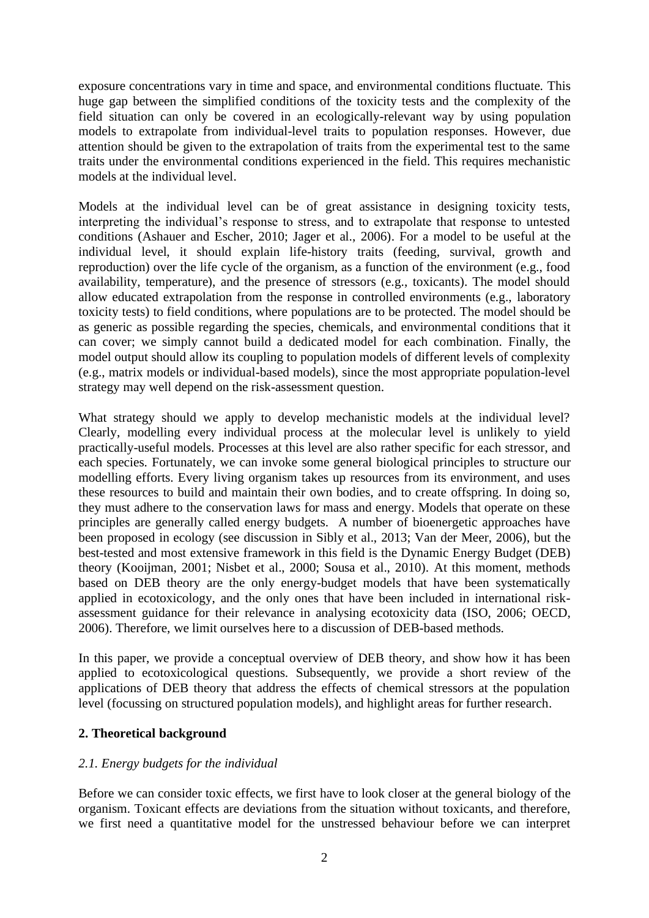exposure concentrations vary in time and space, and environmental conditions fluctuate. This huge gap between the simplified conditions of the toxicity tests and the complexity of the field situation can only be covered in an ecologically-relevant way by using population models to extrapolate from individual-level traits to population responses. However, due attention should be given to the extrapolation of traits from the experimental test to the same traits under the environmental conditions experienced in the field. This requires mechanistic models at the individual level.

Models at the individual level can be of great assistance in designing toxicity tests, interpreting the individual's response to stress, and to extrapolate that response to untested conditions (Ashauer and Escher, 2010; Jager et al., 2006). For a model to be useful at the individual level, it should explain life-history traits (feeding, survival, growth and reproduction) over the life cycle of the organism, as a function of the environment (e.g., food availability, temperature), and the presence of stressors (e.g., toxicants). The model should allow educated extrapolation from the response in controlled environments (e.g., laboratory toxicity tests) to field conditions, where populations are to be protected. The model should be as generic as possible regarding the species, chemicals, and environmental conditions that it can cover; we simply cannot build a dedicated model for each combination. Finally, the model output should allow its coupling to population models of different levels of complexity (e.g., matrix models or individual-based models), since the most appropriate population-level strategy may well depend on the risk-assessment question.

What strategy should we apply to develop mechanistic models at the individual level? Clearly, modelling every individual process at the molecular level is unlikely to yield practically-useful models. Processes at this level are also rather specific for each stressor, and each species. Fortunately, we can invoke some general biological principles to structure our modelling efforts. Every living organism takes up resources from its environment, and uses these resources to build and maintain their own bodies, and to create offspring. In doing so, they must adhere to the conservation laws for mass and energy. Models that operate on these principles are generally called energy budgets. A number of bioenergetic approaches have been proposed in ecology (see discussion in Sibly et al., 2013; Van der Meer, 2006), but the best-tested and most extensive framework in this field is the Dynamic Energy Budget (DEB) theory (Kooijman, 2001; Nisbet et al., 2000; Sousa et al., 2010). At this moment, methods based on DEB theory are the only energy-budget models that have been systematically applied in ecotoxicology, and the only ones that have been included in international riskassessment guidance for their relevance in analysing ecotoxicity data (ISO, 2006; OECD, 2006). Therefore, we limit ourselves here to a discussion of DEB-based methods.

In this paper, we provide a conceptual overview of DEB theory, and show how it has been applied to ecotoxicological questions. Subsequently, we provide a short review of the applications of DEB theory that address the effects of chemical stressors at the population level (focussing on structured population models), and highlight areas for further research.

# **2. Theoretical background**

### *2.1. Energy budgets for the individual*

Before we can consider toxic effects, we first have to look closer at the general biology of the organism. Toxicant effects are deviations from the situation without toxicants, and therefore, we first need a quantitative model for the unstressed behaviour before we can interpret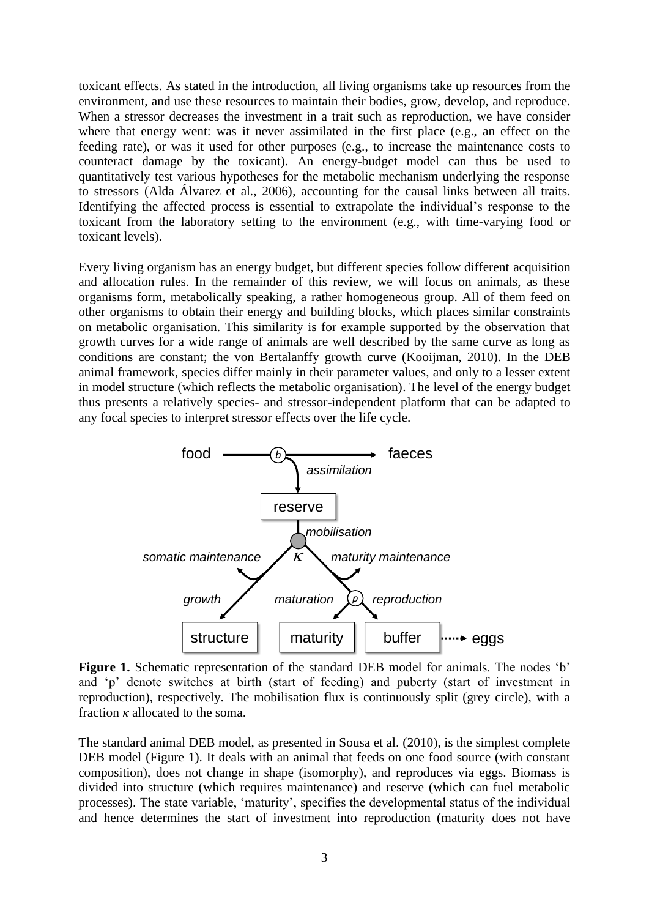toxicant effects. As stated in the introduction, all living organisms take up resources from the environment, and use these resources to maintain their bodies, grow, develop, and reproduce. When a stressor decreases the investment in a trait such as reproduction, we have consider where that energy went: was it never assimilated in the first place (e.g., an effect on the feeding rate), or was it used for other purposes (e.g., to increase the maintenance costs to counteract damage by the toxicant). An energy-budget model can thus be used to quantitatively test various hypotheses for the metabolic mechanism underlying the response to stressors (Alda Álvarez et al., 2006), accounting for the causal links between all traits. Identifying the affected process is essential to extrapolate the individual's response to the toxicant from the laboratory setting to the environment (e.g., with time-varying food or toxicant levels).

Every living organism has an energy budget, but different species follow different acquisition and allocation rules. In the remainder of this review, we will focus on animals, as these organisms form, metabolically speaking, a rather homogeneous group. All of them feed on other organisms to obtain their energy and building blocks, which places similar constraints on metabolic organisation. This similarity is for example supported by the observation that growth curves for a wide range of animals are well described by the same curve as long as conditions are constant; the von Bertalanffy growth curve (Kooijman, 2010). In the DEB animal framework, species differ mainly in their parameter values, and only to a lesser extent in model structure (which reflects the metabolic organisation). The level of the energy budget thus presents a relatively species- and stressor-independent platform that can be adapted to any focal species to interpret stressor effects over the life cycle.



**Figure 1.** Schematic representation of the standard DEB model for animals. The nodes 'b' and 'p' denote switches at birth (start of feeding) and puberty (start of investment in reproduction), respectively. The mobilisation flux is continuously split (grey circle), with a fraction *κ* allocated to the soma.

The standard animal DEB model, as presented in Sousa et al. (2010), is the simplest complete DEB model (Figure 1). It deals with an animal that feeds on one food source (with constant composition), does not change in shape (isomorphy), and reproduces via eggs. Biomass is divided into structure (which requires maintenance) and reserve (which can fuel metabolic processes). The state variable, 'maturity', specifies the developmental status of the individual and hence determines the start of investment into reproduction (maturity does not have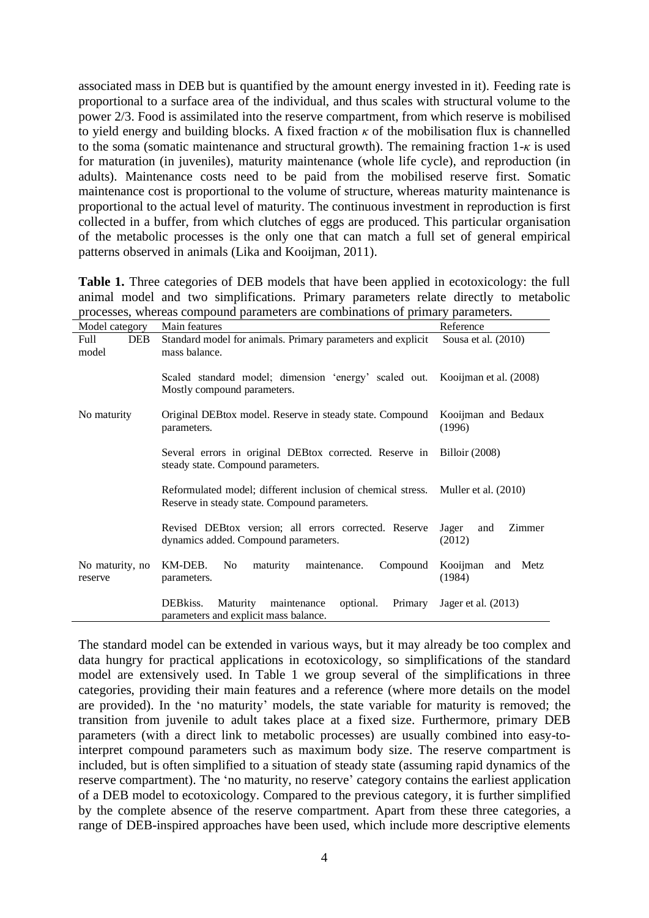associated mass in DEB but is quantified by the amount energy invested in it). Feeding rate is proportional to a surface area of the individual, and thus scales with structural volume to the power 2/3. Food is assimilated into the reserve compartment, from which reserve is mobilised to yield energy and building blocks. A fixed fraction  $\kappa$  of the mobilisation flux is channelled to the soma (somatic maintenance and structural growth). The remaining fraction 1-*κ* is used for maturation (in juveniles), maturity maintenance (whole life cycle), and reproduction (in adults). Maintenance costs need to be paid from the mobilised reserve first. Somatic maintenance cost is proportional to the volume of structure, whereas maturity maintenance is proportional to the actual level of maturity. The continuous investment in reproduction is first collected in a buffer, from which clutches of eggs are produced. This particular organisation of the metabolic processes is the only one that can match a full set of general empirical patterns observed in animals (Lika and Kooijman, 2011).

**Table 1.** Three categories of DEB models that have been applied in ecotoxicology: the full animal model and two simplifications. Primary parameters relate directly to metabolic processes, whereas compound parameters are combinations of primary parameters.

| Model category     | Main features                                                                                                | Reference              |
|--------------------|--------------------------------------------------------------------------------------------------------------|------------------------|
| Full<br><b>DEB</b> | Standard model for animals. Primary parameters and explicit                                                  | Sousa et al. $(2010)$  |
| model              | mass balance.                                                                                                |                        |
|                    |                                                                                                              |                        |
|                    | Scaled standard model; dimension 'energy' scaled out. Kooijman et al. (2008)                                 |                        |
|                    | Mostly compound parameters.                                                                                  |                        |
|                    |                                                                                                              |                        |
| No maturity        | Original DEB tox model. Reserve in steady state. Compound Kooijman and Bedaux                                |                        |
|                    | parameters.                                                                                                  | (1996)                 |
|                    |                                                                                                              |                        |
|                    | Several errors in original DEBtox corrected. Reserve in Billoir (2008)<br>steady state. Compound parameters. |                        |
|                    |                                                                                                              |                        |
|                    | Reformulated model; different inclusion of chemical stress. Muller et al. (2010)                             |                        |
|                    | Reserve in steady state. Compound parameters.                                                                |                        |
|                    |                                                                                                              |                        |
|                    | Revised DEBtox version; all errors corrected. Reserve                                                        | Zimmer<br>Jager<br>and |
|                    | dynamics added. Compound parameters.                                                                         | (2012)                 |
|                    |                                                                                                              |                        |
| No maturity, no    | KM-DEB.<br>No.<br>maturity<br>maintenance.<br>Compound                                                       | Kooijman and Metz      |
| reserve            | parameters.                                                                                                  | (1984)                 |
|                    |                                                                                                              |                        |
|                    | DEBkiss.<br>Maturity<br>Primary<br>maintenance<br>optional.                                                  | Jager et al. $(2013)$  |
|                    | parameters and explicit mass balance.                                                                        |                        |

The standard model can be extended in various ways, but it may already be too complex and data hungry for practical applications in ecotoxicology, so simplifications of the standard model are extensively used. In Table 1 we group several of the simplifications in three categories, providing their main features and a reference (where more details on the model are provided). In the 'no maturity' models, the state variable for maturity is removed; the transition from juvenile to adult takes place at a fixed size. Furthermore, primary DEB parameters (with a direct link to metabolic processes) are usually combined into easy-tointerpret compound parameters such as maximum body size. The reserve compartment is included, but is often simplified to a situation of steady state (assuming rapid dynamics of the reserve compartment). The 'no maturity, no reserve' category contains the earliest application of a DEB model to ecotoxicology. Compared to the previous category, it is further simplified by the complete absence of the reserve compartment. Apart from these three categories, a range of DEB-inspired approaches have been used, which include more descriptive elements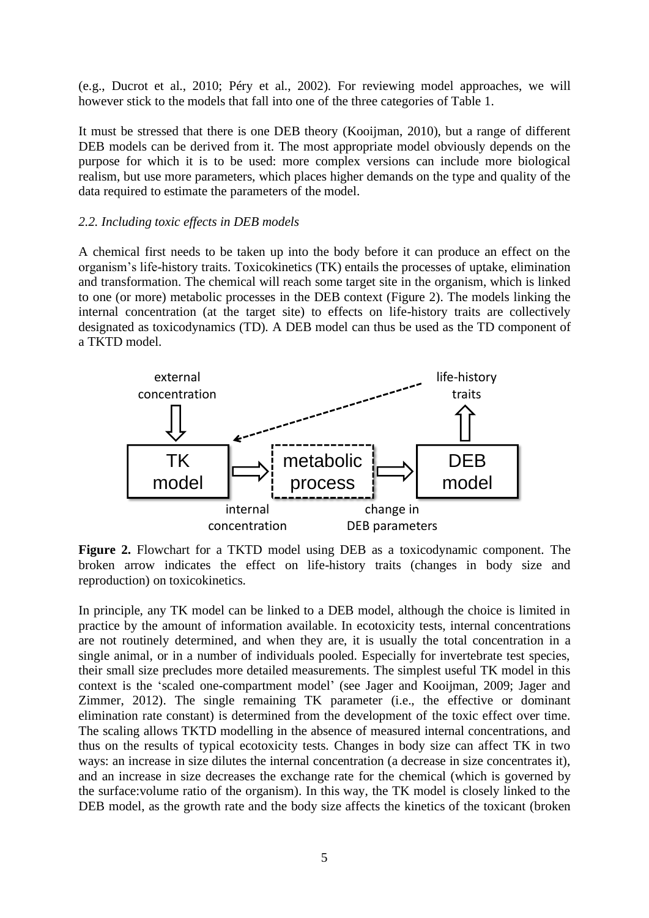(e.g., Ducrot et al., 2010; Péry et al., 2002). For reviewing model approaches, we will however stick to the models that fall into one of the three categories of Table 1.

It must be stressed that there is one DEB theory (Kooijman, 2010), but a range of different DEB models can be derived from it. The most appropriate model obviously depends on the purpose for which it is to be used: more complex versions can include more biological realism, but use more parameters, which places higher demands on the type and quality of the data required to estimate the parameters of the model.

### *2.2. Including toxic effects in DEB models*

A chemical first needs to be taken up into the body before it can produce an effect on the organism's life-history traits. Toxicokinetics (TK) entails the processes of uptake, elimination and transformation. The chemical will reach some target site in the organism, which is linked to one (or more) metabolic processes in the DEB context (Figure 2). The models linking the internal concentration (at the target site) to effects on life-history traits are collectively designated as toxicodynamics (TD). A DEB model can thus be used as the TD component of a TKTD model.



**Figure 2.** Flowchart for a TKTD model using DEB as a toxicodynamic component. The broken arrow indicates the effect on life-history traits (changes in body size and reproduction) on toxicokinetics.

In principle, any TK model can be linked to a DEB model, although the choice is limited in practice by the amount of information available. In ecotoxicity tests, internal concentrations are not routinely determined, and when they are, it is usually the total concentration in a single animal, or in a number of individuals pooled. Especially for invertebrate test species, their small size precludes more detailed measurements. The simplest useful TK model in this context is the 'scaled one-compartment model' (see Jager and Kooijman, 2009; Jager and Zimmer, 2012). The single remaining TK parameter (i.e., the effective or dominant elimination rate constant) is determined from the development of the toxic effect over time. The scaling allows TKTD modelling in the absence of measured internal concentrations, and thus on the results of typical ecotoxicity tests. Changes in body size can affect TK in two ways: an increase in size dilutes the internal concentration (a decrease in size concentrates it), and an increase in size decreases the exchange rate for the chemical (which is governed by the surface:volume ratio of the organism). In this way, the TK model is closely linked to the DEB model, as the growth rate and the body size affects the kinetics of the toxicant (broken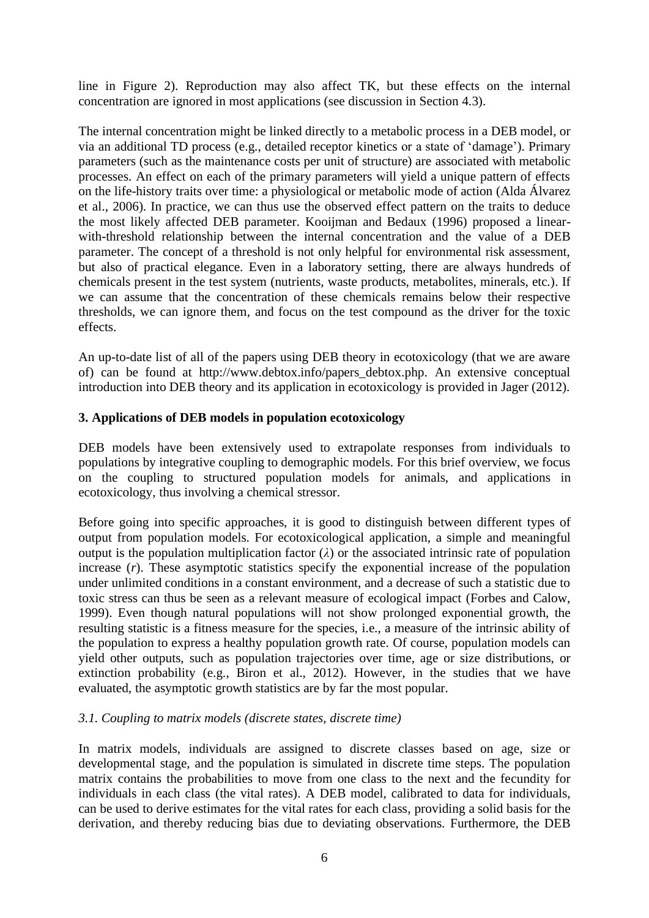line in Figure 2). Reproduction may also affect TK, but these effects on the internal concentration are ignored in most applications (see discussion in Section 4.3).

The internal concentration might be linked directly to a metabolic process in a DEB model, or via an additional TD process (e.g., detailed receptor kinetics or a state of 'damage'). Primary parameters (such as the maintenance costs per unit of structure) are associated with metabolic processes. An effect on each of the primary parameters will yield a unique pattern of effects on the life-history traits over time: a physiological or metabolic mode of action (Alda Álvarez et al., 2006). In practice, we can thus use the observed effect pattern on the traits to deduce the most likely affected DEB parameter. Kooijman and Bedaux (1996) proposed a linearwith-threshold relationship between the internal concentration and the value of a DEB parameter. The concept of a threshold is not only helpful for environmental risk assessment, but also of practical elegance. Even in a laboratory setting, there are always hundreds of chemicals present in the test system (nutrients, waste products, metabolites, minerals, etc.). If we can assume that the concentration of these chemicals remains below their respective thresholds, we can ignore them, and focus on the test compound as the driver for the toxic effects.

An up-to-date list of all of the papers using DEB theory in ecotoxicology (that we are aware of) can be found at http://www.debtox.info/papers\_debtox.php. An extensive conceptual introduction into DEB theory and its application in ecotoxicology is provided in Jager (2012).

### **3. Applications of DEB models in population ecotoxicology**

DEB models have been extensively used to extrapolate responses from individuals to populations by integrative coupling to demographic models. For this brief overview, we focus on the coupling to structured population models for animals, and applications in ecotoxicology, thus involving a chemical stressor.

Before going into specific approaches, it is good to distinguish between different types of output from population models. For ecotoxicological application, a simple and meaningful output is the population multiplication factor  $(\lambda)$  or the associated intrinsic rate of population increase (*r*). These asymptotic statistics specify the exponential increase of the population under unlimited conditions in a constant environment, and a decrease of such a statistic due to toxic stress can thus be seen as a relevant measure of ecological impact (Forbes and Calow, 1999). Even though natural populations will not show prolonged exponential growth, the resulting statistic is a fitness measure for the species, i.e., a measure of the intrinsic ability of the population to express a healthy population growth rate. Of course, population models can yield other outputs, such as population trajectories over time, age or size distributions, or extinction probability (e.g., Biron et al., 2012). However, in the studies that we have evaluated, the asymptotic growth statistics are by far the most popular.

### *3.1. Coupling to matrix models (discrete states, discrete time)*

In matrix models, individuals are assigned to discrete classes based on age, size or developmental stage, and the population is simulated in discrete time steps. The population matrix contains the probabilities to move from one class to the next and the fecundity for individuals in each class (the vital rates). A DEB model, calibrated to data for individuals, can be used to derive estimates for the vital rates for each class, providing a solid basis for the derivation, and thereby reducing bias due to deviating observations. Furthermore, the DEB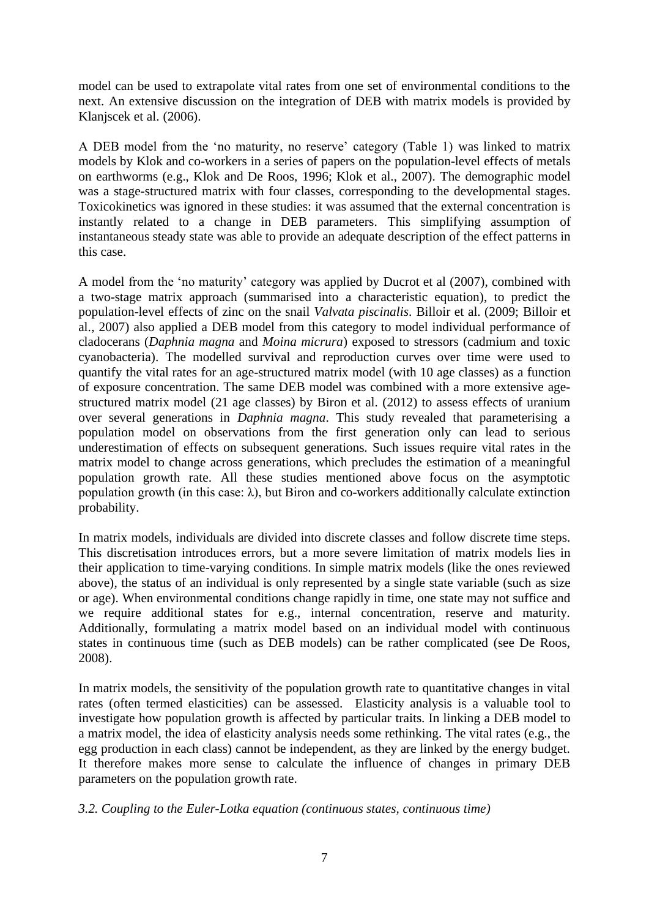model can be used to extrapolate vital rates from one set of environmental conditions to the next. An extensive discussion on the integration of DEB with matrix models is provided by Klanjscek et al. (2006).

A DEB model from the 'no maturity, no reserve' category (Table 1) was linked to matrix models by Klok and co-workers in a series of papers on the population-level effects of metals on earthworms (e.g., Klok and De Roos, 1996; Klok et al., 2007). The demographic model was a stage-structured matrix with four classes, corresponding to the developmental stages. Toxicokinetics was ignored in these studies: it was assumed that the external concentration is instantly related to a change in DEB parameters. This simplifying assumption of instantaneous steady state was able to provide an adequate description of the effect patterns in this case.

A model from the 'no maturity' category was applied by Ducrot et al (2007), combined with a two-stage matrix approach (summarised into a characteristic equation), to predict the population-level effects of zinc on the snail *Valvata piscinalis*. Billoir et al. (2009; Billoir et al., 2007) also applied a DEB model from this category to model individual performance of cladocerans (*Daphnia magna* and *Moina micrura*) exposed to stressors (cadmium and toxic cyanobacteria). The modelled survival and reproduction curves over time were used to quantify the vital rates for an age-structured matrix model (with 10 age classes) as a function of exposure concentration. The same DEB model was combined with a more extensive agestructured matrix model (21 age classes) by Biron et al. (2012) to assess effects of uranium over several generations in *Daphnia magna*. This study revealed that parameterising a population model on observations from the first generation only can lead to serious underestimation of effects on subsequent generations. Such issues require vital rates in the matrix model to change across generations, which precludes the estimation of a meaningful population growth rate. All these studies mentioned above focus on the asymptotic population growth (in this case:  $\lambda$ ), but Biron and co-workers additionally calculate extinction probability.

In matrix models, individuals are divided into discrete classes and follow discrete time steps. This discretisation introduces errors, but a more severe limitation of matrix models lies in their application to time-varying conditions. In simple matrix models (like the ones reviewed above), the status of an individual is only represented by a single state variable (such as size or age). When environmental conditions change rapidly in time, one state may not suffice and we require additional states for e.g., internal concentration, reserve and maturity. Additionally, formulating a matrix model based on an individual model with continuous states in continuous time (such as DEB models) can be rather complicated (see De Roos, 2008).

In matrix models, the sensitivity of the population growth rate to quantitative changes in vital rates (often termed elasticities) can be assessed. Elasticity analysis is a valuable tool to investigate how population growth is affected by particular traits. In linking a DEB model to a matrix model, the idea of elasticity analysis needs some rethinking. The vital rates (e.g., the egg production in each class) cannot be independent, as they are linked by the energy budget. It therefore makes more sense to calculate the influence of changes in primary DEB parameters on the population growth rate.

### *3.2. Coupling to the Euler-Lotka equation (continuous states, continuous time)*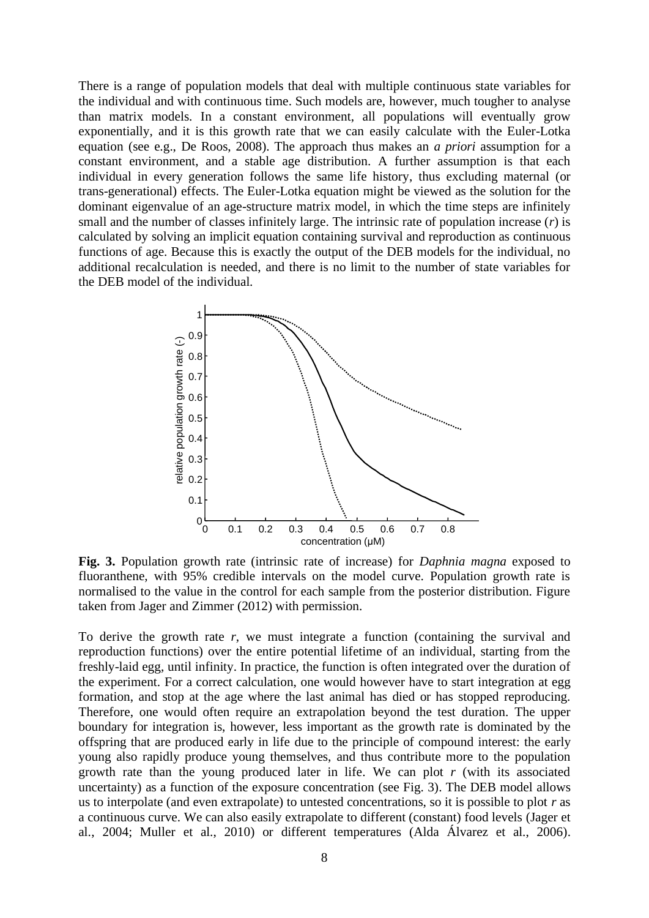There is a range of population models that deal with multiple continuous state variables for the individual and with continuous time. Such models are, however, much tougher to analyse than matrix models. In a constant environment, all populations will eventually grow exponentially, and it is this growth rate that we can easily calculate with the Euler-Lotka equation (see e.g., De Roos, 2008). The approach thus makes an *a priori* assumption for a constant environment, and a stable age distribution. A further assumption is that each individual in every generation follows the same life history, thus excluding maternal (or trans-generational) effects. The Euler-Lotka equation might be viewed as the solution for the dominant eigenvalue of an age-structure matrix model, in which the time steps are infinitely small and the number of classes infinitely large. The intrinsic rate of population increase (*r*) is calculated by solving an implicit equation containing survival and reproduction as continuous functions of age. Because this is exactly the output of the DEB models for the individual, no additional recalculation is needed, and there is no limit to the number of state variables for the DEB model of the individual.



**Fig. 3.** Population growth rate (intrinsic rate of increase) for *Daphnia magna* exposed to fluoranthene, with 95% credible intervals on the model curve. Population growth rate is normalised to the value in the control for each sample from the posterior distribution. Figure taken from Jager and Zimmer (2012) with permission.

To derive the growth rate *r*, we must integrate a function (containing the survival and reproduction functions) over the entire potential lifetime of an individual, starting from the freshly-laid egg, until infinity. In practice, the function is often integrated over the duration of the experiment. For a correct calculation, one would however have to start integration at egg formation, and stop at the age where the last animal has died or has stopped reproducing. Therefore, one would often require an extrapolation beyond the test duration. The upper boundary for integration is, however, less important as the growth rate is dominated by the offspring that are produced early in life due to the principle of compound interest: the early young also rapidly produce young themselves, and thus contribute more to the population growth rate than the young produced later in life. We can plot *r* (with its associated uncertainty) as a function of the exposure concentration (see Fig. 3). The DEB model allows us to interpolate (and even extrapolate) to untested concentrations, so it is possible to plot *r* as a continuous curve. We can also easily extrapolate to different (constant) food levels (Jager et al., 2004; Muller et al., 2010) or different temperatures (Alda Álvarez et al., 2006).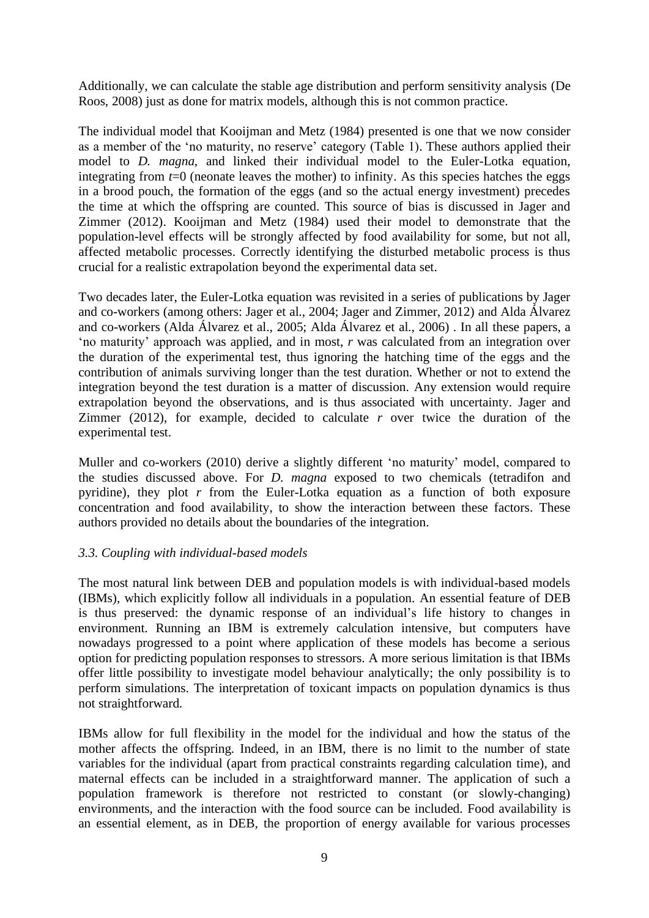Additionally, we can calculate the stable age distribution and perform sensitivity analysis (De Roos, 2008) just as done for matrix models, although this is not common practice.

The individual model that Kooijman and Metz (1984) presented is one that we now consider as a member of the 'no maturity, no reserve' category (Table 1). These authors applied their model to *D. magna*, and linked their individual model to the Euler-Lotka equation, integrating from  $t=0$  (neonate leaves the mother) to infinity. As this species hatches the eggs in a brood pouch, the formation of the eggs (and so the actual energy investment) precedes the time at which the offspring are counted. This source of bias is discussed in Jager and Zimmer (2012). Kooijman and Metz (1984) used their model to demonstrate that the population-level effects will be strongly affected by food availability for some, but not all, affected metabolic processes. Correctly identifying the disturbed metabolic process is thus crucial for a realistic extrapolation beyond the experimental data set.

Two decades later, the Euler-Lotka equation was revisited in a series of publications by Jager and co-workers (among others: Jager et al., 2004; Jager and Zimmer, 2012) and Alda Álvarez and co-workers (Alda Álvarez et al., 2005; Alda Álvarez et al., 2006) . In all these papers, a 'no maturity' approach was applied, and in most, *r* was calculated from an integration over the duration of the experimental test, thus ignoring the hatching time of the eggs and the contribution of animals surviving longer than the test duration. Whether or not to extend the integration beyond the test duration is a matter of discussion. Any extension would require extrapolation beyond the observations, and is thus associated with uncertainty. Jager and Zimmer (2012), for example, decided to calculate *r* over twice the duration of the experimental test.

Muller and co-workers (2010) derive a slightly different 'no maturity' model, compared to the studies discussed above. For *D. magna* exposed to two chemicals (tetradifon and pyridine), they plot *r* from the Euler-Lotka equation as a function of both exposure concentration and food availability, to show the interaction between these factors. These authors provided no details about the boundaries of the integration.

### *3.3. Coupling with individual-based models*

The most natural link between DEB and population models is with individual-based models (IBMs), which explicitly follow all individuals in a population. An essential feature of DEB is thus preserved: the dynamic response of an individual's life history to changes in environment. Running an IBM is extremely calculation intensive, but computers have nowadays progressed to a point where application of these models has become a serious option for predicting population responses to stressors. A more serious limitation is that IBMs offer little possibility to investigate model behaviour analytically; the only possibility is to perform simulations. The interpretation of toxicant impacts on population dynamics is thus not straightforward.

IBMs allow for full flexibility in the model for the individual and how the status of the mother affects the offspring. Indeed, in an IBM, there is no limit to the number of state variables for the individual (apart from practical constraints regarding calculation time), and maternal effects can be included in a straightforward manner. The application of such a population framework is therefore not restricted to constant (or slowly-changing) environments, and the interaction with the food source can be included. Food availability is an essential element, as in DEB, the proportion of energy available for various processes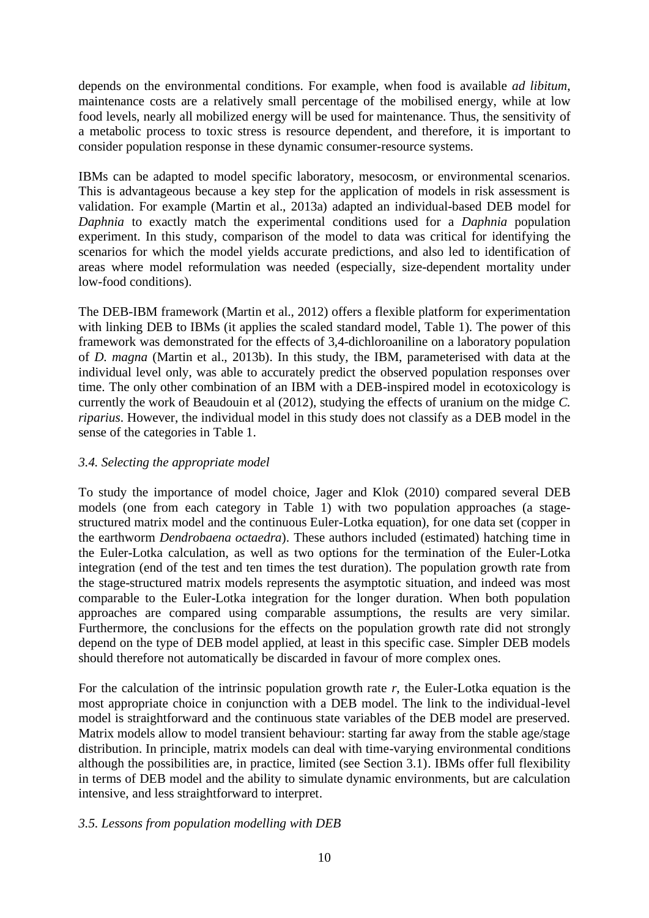depends on the environmental conditions. For example, when food is available *ad libitum*, maintenance costs are a relatively small percentage of the mobilised energy, while at low food levels, nearly all mobilized energy will be used for maintenance. Thus, the sensitivity of a metabolic process to toxic stress is resource dependent, and therefore, it is important to consider population response in these dynamic consumer-resource systems.

IBMs can be adapted to model specific laboratory, mesocosm, or environmental scenarios. This is advantageous because a key step for the application of models in risk assessment is validation. For example (Martin et al., 2013a) adapted an individual-based DEB model for *Daphnia* to exactly match the experimental conditions used for a *Daphnia* population experiment. In this study, comparison of the model to data was critical for identifying the scenarios for which the model yields accurate predictions, and also led to identification of areas where model reformulation was needed (especially, size-dependent mortality under low-food conditions).

The DEB-IBM framework (Martin et al., 2012) offers a flexible platform for experimentation with linking DEB to IBMs (it applies the scaled standard model, Table 1). The power of this framework was demonstrated for the effects of 3,4-dichloroaniline on a laboratory population of *D. magna* (Martin et al., 2013b). In this study, the IBM, parameterised with data at the individual level only, was able to accurately predict the observed population responses over time. The only other combination of an IBM with a DEB-inspired model in ecotoxicology is currently the work of Beaudouin et al (2012), studying the effects of uranium on the midge *C. riparius*. However, the individual model in this study does not classify as a DEB model in the sense of the categories in Table 1.

# *3.4. Selecting the appropriate model*

To study the importance of model choice, Jager and Klok (2010) compared several DEB models (one from each category in Table 1) with two population approaches (a stagestructured matrix model and the continuous Euler-Lotka equation), for one data set (copper in the earthworm *Dendrobaena octaedra*). These authors included (estimated) hatching time in the Euler-Lotka calculation, as well as two options for the termination of the Euler-Lotka integration (end of the test and ten times the test duration). The population growth rate from the stage-structured matrix models represents the asymptotic situation, and indeed was most comparable to the Euler-Lotka integration for the longer duration. When both population approaches are compared using comparable assumptions, the results are very similar. Furthermore, the conclusions for the effects on the population growth rate did not strongly depend on the type of DEB model applied, at least in this specific case. Simpler DEB models should therefore not automatically be discarded in favour of more complex ones.

For the calculation of the intrinsic population growth rate *r*, the Euler-Lotka equation is the most appropriate choice in conjunction with a DEB model. The link to the individual-level model is straightforward and the continuous state variables of the DEB model are preserved. Matrix models allow to model transient behaviour: starting far away from the stable age/stage distribution. In principle, matrix models can deal with time-varying environmental conditions although the possibilities are, in practice, limited (see Section 3.1). IBMs offer full flexibility in terms of DEB model and the ability to simulate dynamic environments, but are calculation intensive, and less straightforward to interpret.

# *3.5. Lessons from population modelling with DEB*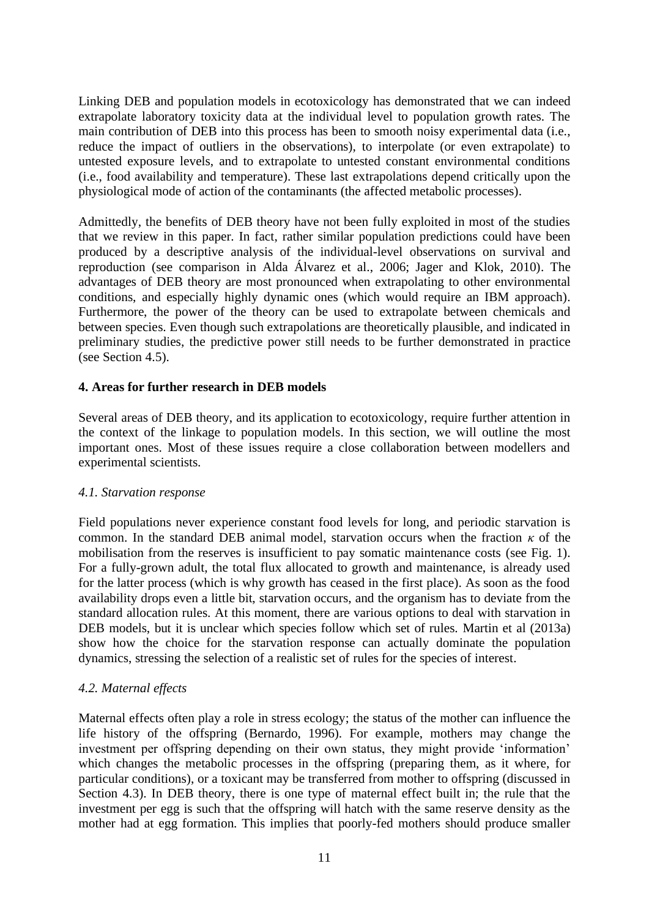Linking DEB and population models in ecotoxicology has demonstrated that we can indeed extrapolate laboratory toxicity data at the individual level to population growth rates. The main contribution of DEB into this process has been to smooth noisy experimental data (i.e., reduce the impact of outliers in the observations), to interpolate (or even extrapolate) to untested exposure levels, and to extrapolate to untested constant environmental conditions (i.e., food availability and temperature). These last extrapolations depend critically upon the physiological mode of action of the contaminants (the affected metabolic processes).

Admittedly, the benefits of DEB theory have not been fully exploited in most of the studies that we review in this paper. In fact, rather similar population predictions could have been produced by a descriptive analysis of the individual-level observations on survival and reproduction (see comparison in Alda Álvarez et al., 2006; Jager and Klok, 2010). The advantages of DEB theory are most pronounced when extrapolating to other environmental conditions, and especially highly dynamic ones (which would require an IBM approach). Furthermore, the power of the theory can be used to extrapolate between chemicals and between species. Even though such extrapolations are theoretically plausible, and indicated in preliminary studies, the predictive power still needs to be further demonstrated in practice (see Section 4.5).

## **4. Areas for further research in DEB models**

Several areas of DEB theory, and its application to ecotoxicology, require further attention in the context of the linkage to population models. In this section, we will outline the most important ones. Most of these issues require a close collaboration between modellers and experimental scientists.

### *4.1. Starvation response*

Field populations never experience constant food levels for long, and periodic starvation is common. In the standard DEB animal model, starvation occurs when the fraction  $\kappa$  of the mobilisation from the reserves is insufficient to pay somatic maintenance costs (see Fig. 1). For a fully-grown adult, the total flux allocated to growth and maintenance, is already used for the latter process (which is why growth has ceased in the first place). As soon as the food availability drops even a little bit, starvation occurs, and the organism has to deviate from the standard allocation rules. At this moment, there are various options to deal with starvation in DEB models, but it is unclear which species follow which set of rules. Martin et al (2013a) show how the choice for the starvation response can actually dominate the population dynamics, stressing the selection of a realistic set of rules for the species of interest.

# *4.2. Maternal effects*

Maternal effects often play a role in stress ecology; the status of the mother can influence the life history of the offspring (Bernardo, 1996). For example, mothers may change the investment per offspring depending on their own status, they might provide 'information' which changes the metabolic processes in the offspring (preparing them, as it where, for particular conditions), or a toxicant may be transferred from mother to offspring (discussed in Section 4.3). In DEB theory, there is one type of maternal effect built in; the rule that the investment per egg is such that the offspring will hatch with the same reserve density as the mother had at egg formation. This implies that poorly-fed mothers should produce smaller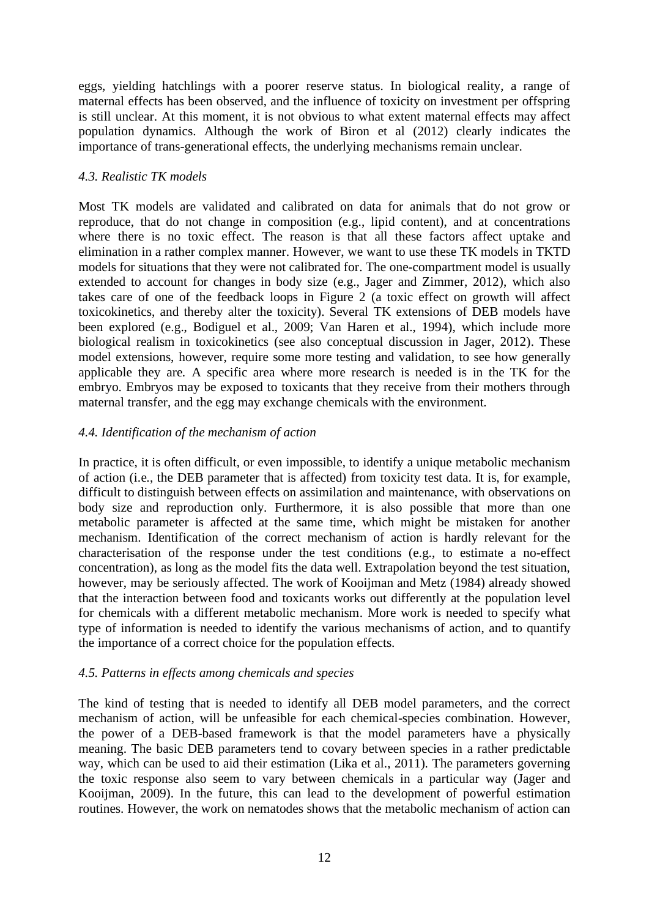eggs, yielding hatchlings with a poorer reserve status. In biological reality, a range of maternal effects has been observed, and the influence of toxicity on investment per offspring is still unclear. At this moment, it is not obvious to what extent maternal effects may affect population dynamics. Although the work of Biron et al (2012) clearly indicates the importance of trans-generational effects, the underlying mechanisms remain unclear.

# *4.3. Realistic TK models*

Most TK models are validated and calibrated on data for animals that do not grow or reproduce, that do not change in composition (e.g., lipid content), and at concentrations where there is no toxic effect. The reason is that all these factors affect uptake and elimination in a rather complex manner. However, we want to use these TK models in TKTD models for situations that they were not calibrated for. The one-compartment model is usually extended to account for changes in body size (e.g., Jager and Zimmer, 2012), which also takes care of one of the feedback loops in Figure 2 (a toxic effect on growth will affect toxicokinetics, and thereby alter the toxicity). Several TK extensions of DEB models have been explored (e.g., Bodiguel et al., 2009; Van Haren et al., 1994), which include more biological realism in toxicokinetics (see also conceptual discussion in Jager, 2012). These model extensions, however, require some more testing and validation, to see how generally applicable they are. A specific area where more research is needed is in the TK for the embryo. Embryos may be exposed to toxicants that they receive from their mothers through maternal transfer, and the egg may exchange chemicals with the environment.

## *4.4. Identification of the mechanism of action*

In practice, it is often difficult, or even impossible, to identify a unique metabolic mechanism of action (i.e., the DEB parameter that is affected) from toxicity test data. It is, for example, difficult to distinguish between effects on assimilation and maintenance, with observations on body size and reproduction only. Furthermore, it is also possible that more than one metabolic parameter is affected at the same time, which might be mistaken for another mechanism. Identification of the correct mechanism of action is hardly relevant for the characterisation of the response under the test conditions (e.g., to estimate a no-effect concentration), as long as the model fits the data well. Extrapolation beyond the test situation, however, may be seriously affected. The work of Kooijman and Metz (1984) already showed that the interaction between food and toxicants works out differently at the population level for chemicals with a different metabolic mechanism. More work is needed to specify what type of information is needed to identify the various mechanisms of action, and to quantify the importance of a correct choice for the population effects.

# *4.5. Patterns in effects among chemicals and species*

The kind of testing that is needed to identify all DEB model parameters, and the correct mechanism of action, will be unfeasible for each chemical-species combination. However, the power of a DEB-based framework is that the model parameters have a physically meaning. The basic DEB parameters tend to covary between species in a rather predictable way, which can be used to aid their estimation (Lika et al., 2011). The parameters governing the toxic response also seem to vary between chemicals in a particular way (Jager and Kooijman, 2009). In the future, this can lead to the development of powerful estimation routines. However, the work on nematodes shows that the metabolic mechanism of action can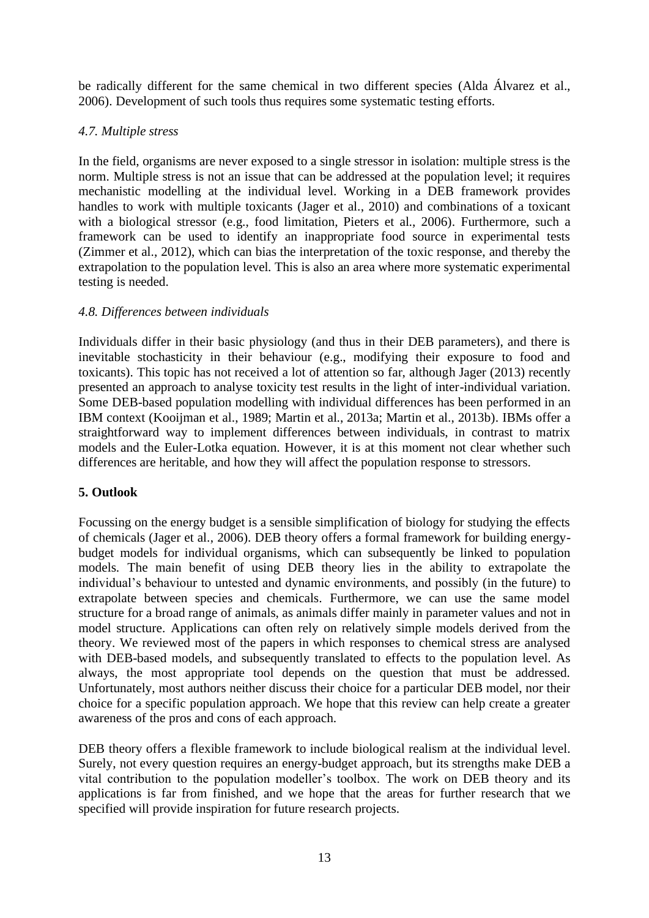be radically different for the same chemical in two different species (Alda Álvarez et al., 2006). Development of such tools thus requires some systematic testing efforts.

# *4.7. Multiple stress*

In the field, organisms are never exposed to a single stressor in isolation: multiple stress is the norm. Multiple stress is not an issue that can be addressed at the population level; it requires mechanistic modelling at the individual level. Working in a DEB framework provides handles to work with multiple toxicants (Jager et al., 2010) and combinations of a toxicant with a biological stressor (e.g., food limitation, Pieters et al., 2006). Furthermore, such a framework can be used to identify an inappropriate food source in experimental tests (Zimmer et al., 2012), which can bias the interpretation of the toxic response, and thereby the extrapolation to the population level. This is also an area where more systematic experimental testing is needed.

# *4.8. Differences between individuals*

Individuals differ in their basic physiology (and thus in their DEB parameters), and there is inevitable stochasticity in their behaviour (e.g., modifying their exposure to food and toxicants). This topic has not received a lot of attention so far, although Jager (2013) recently presented an approach to analyse toxicity test results in the light of inter-individual variation. Some DEB-based population modelling with individual differences has been performed in an IBM context (Kooijman et al., 1989; Martin et al., 2013a; Martin et al., 2013b). IBMs offer a straightforward way to implement differences between individuals, in contrast to matrix models and the Euler-Lotka equation. However, it is at this moment not clear whether such differences are heritable, and how they will affect the population response to stressors.

# **5. Outlook**

Focussing on the energy budget is a sensible simplification of biology for studying the effects of chemicals (Jager et al., 2006). DEB theory offers a formal framework for building energybudget models for individual organisms, which can subsequently be linked to population models. The main benefit of using DEB theory lies in the ability to extrapolate the individual's behaviour to untested and dynamic environments, and possibly (in the future) to extrapolate between species and chemicals. Furthermore, we can use the same model structure for a broad range of animals, as animals differ mainly in parameter values and not in model structure. Applications can often rely on relatively simple models derived from the theory. We reviewed most of the papers in which responses to chemical stress are analysed with DEB-based models, and subsequently translated to effects to the population level. As always, the most appropriate tool depends on the question that must be addressed. Unfortunately, most authors neither discuss their choice for a particular DEB model, nor their choice for a specific population approach. We hope that this review can help create a greater awareness of the pros and cons of each approach.

DEB theory offers a flexible framework to include biological realism at the individual level. Surely, not every question requires an energy-budget approach, but its strengths make DEB a vital contribution to the population modeller's toolbox. The work on DEB theory and its applications is far from finished, and we hope that the areas for further research that we specified will provide inspiration for future research projects.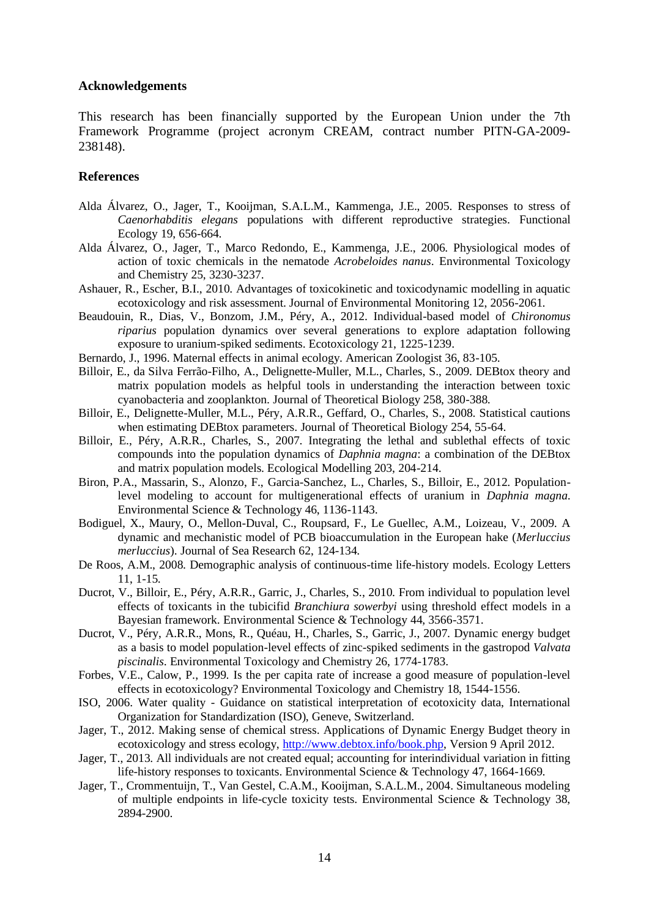#### **Acknowledgements**

This research has been financially supported by the European Union under the 7th Framework Programme (project acronym CREAM, contract number PITN-GA-2009- 238148).

#### **References**

- Alda Álvarez, O., Jager, T., Kooijman, S.A.L.M., Kammenga, J.E., 2005. Responses to stress of *Caenorhabditis elegans* populations with different reproductive strategies. Functional Ecology 19, 656-664.
- Alda Álvarez, O., Jager, T., Marco Redondo, E., Kammenga, J.E., 2006. Physiological modes of action of toxic chemicals in the nematode *Acrobeloides nanus*. Environmental Toxicology and Chemistry 25, 3230-3237.
- Ashauer, R., Escher, B.I., 2010. Advantages of toxicokinetic and toxicodynamic modelling in aquatic ecotoxicology and risk assessment. Journal of Environmental Monitoring 12, 2056-2061.
- Beaudouin, R., Dias, V., Bonzom, J.M., Péry, A., 2012. Individual-based model of *Chironomus riparius* population dynamics over several generations to explore adaptation following exposure to uranium-spiked sediments. Ecotoxicology 21, 1225-1239.
- Bernardo, J., 1996. Maternal effects in animal ecology. American Zoologist 36, 83-105.
- Billoir, E., da Silva Ferrão-Filho, A., Delignette-Muller, M.L., Charles, S., 2009. DEBtox theory and matrix population models as helpful tools in understanding the interaction between toxic cyanobacteria and zooplankton. Journal of Theoretical Biology 258, 380-388.
- Billoir, E., Delignette-Muller, M.L., Péry, A.R.R., Geffard, O., Charles, S., 2008. Statistical cautions when estimating DEBtox parameters. Journal of Theoretical Biology 254, 55-64.
- Billoir, E., Péry, A.R.R., Charles, S., 2007. Integrating the lethal and sublethal effects of toxic compounds into the population dynamics of *Daphnia magna*: a combination of the DEBtox and matrix population models. Ecological Modelling 203, 204-214.
- Biron, P.A., Massarin, S., Alonzo, F., Garcia-Sanchez, L., Charles, S., Billoir, E., 2012. Populationlevel modeling to account for multigenerational effects of uranium in *Daphnia magna*. Environmental Science & Technology 46, 1136-1143.
- Bodiguel, X., Maury, O., Mellon-Duval, C., Roupsard, F., Le Guellec, A.M., Loizeau, V., 2009. A dynamic and mechanistic model of PCB bioaccumulation in the European hake (*Merluccius merluccius*). Journal of Sea Research 62, 124-134.
- De Roos, A.M., 2008. Demographic analysis of continuous-time life-history models. Ecology Letters 11, 1-15.
- Ducrot, V., Billoir, E., Péry, A.R.R., Garric, J., Charles, S., 2010. From individual to population level effects of toxicants in the tubicifid *Branchiura sowerbyi* using threshold effect models in a Bayesian framework. Environmental Science & Technology 44, 3566-3571.
- Ducrot, V., Péry, A.R.R., Mons, R., Quéau, H., Charles, S., Garric, J., 2007. Dynamic energy budget as a basis to model population-level effects of zinc-spiked sediments in the gastropod *Valvata piscinalis*. Environmental Toxicology and Chemistry 26, 1774-1783.
- Forbes, V.E., Calow, P., 1999. Is the per capita rate of increase a good measure of population-level effects in ecotoxicology? Environmental Toxicology and Chemistry 18, 1544-1556.
- ISO, 2006. Water quality Guidance on statistical interpretation of ecotoxicity data, International Organization for Standardization (ISO), Geneve, Switzerland.
- Jager, T., 2012. Making sense of chemical stress. Applications of Dynamic Energy Budget theory in ecotoxicology and stress ecology, [http://www.debtox.info/book.php,](http://www.debtox.info/book.php) Version 9 April 2012.
- Jager, T., 2013. All individuals are not created equal; accounting for interindividual variation in fitting life-history responses to toxicants. Environmental Science & Technology 47, 1664-1669.
- Jager, T., Crommentuijn, T., Van Gestel, C.A.M., Kooijman, S.A.L.M., 2004. Simultaneous modeling of multiple endpoints in life-cycle toxicity tests. Environmental Science & Technology 38, 2894-2900.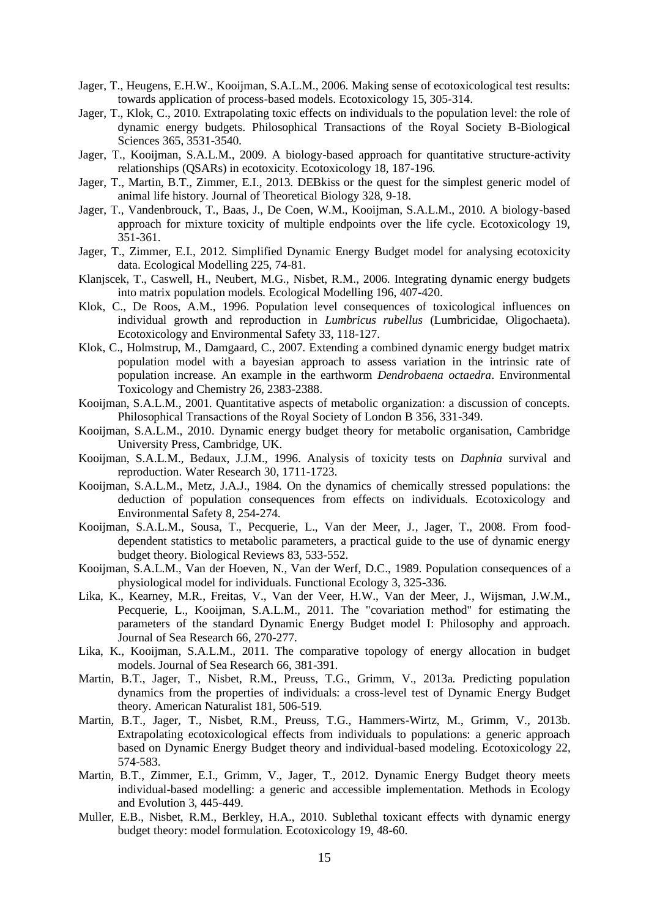- Jager, T., Heugens, E.H.W., Kooijman, S.A.L.M., 2006. Making sense of ecotoxicological test results: towards application of process-based models. Ecotoxicology 15, 305-314.
- Jager, T., Klok, C., 2010. Extrapolating toxic effects on individuals to the population level: the role of dynamic energy budgets. Philosophical Transactions of the Royal Society B-Biological Sciences 365, 3531-3540.
- Jager, T., Kooijman, S.A.L.M., 2009. A biology-based approach for quantitative structure-activity relationships (QSARs) in ecotoxicity. Ecotoxicology 18, 187-196.
- Jager, T., Martin, B.T., Zimmer, E.I., 2013. DEBkiss or the quest for the simplest generic model of animal life history. Journal of Theoretical Biology 328, 9-18.
- Jager, T., Vandenbrouck, T., Baas, J., De Coen, W.M., Kooijman, S.A.L.M., 2010. A biology-based approach for mixture toxicity of multiple endpoints over the life cycle. Ecotoxicology 19, 351-361.
- Jager, T., Zimmer, E.I., 2012. Simplified Dynamic Energy Budget model for analysing ecotoxicity data. Ecological Modelling 225, 74-81.
- Klanjscek, T., Caswell, H., Neubert, M.G., Nisbet, R.M., 2006. Integrating dynamic energy budgets into matrix population models. Ecological Modelling 196, 407-420.
- Klok, C., De Roos, A.M., 1996. Population level consequences of toxicological influences on individual growth and reproduction in *Lumbricus rubellus* (Lumbricidae, Oligochaeta). Ecotoxicology and Environmental Safety 33, 118-127.
- Klok, C., Holmstrup, M., Damgaard, C., 2007. Extending a combined dynamic energy budget matrix population model with a bayesian approach to assess variation in the intrinsic rate of population increase. An example in the earthworm *Dendrobaena octaedra*. Environmental Toxicology and Chemistry 26, 2383-2388.
- Kooijman, S.A.L.M., 2001. Quantitative aspects of metabolic organization: a discussion of concepts. Philosophical Transactions of the Royal Society of London B 356, 331-349.
- Kooijman, S.A.L.M., 2010. Dynamic energy budget theory for metabolic organisation, Cambridge University Press, Cambridge, UK.
- Kooijman, S.A.L.M., Bedaux, J.J.M., 1996. Analysis of toxicity tests on *Daphnia* survival and reproduction. Water Research 30, 1711-1723.
- Kooijman, S.A.L.M., Metz, J.A.J., 1984. On the dynamics of chemically stressed populations: the deduction of population consequences from effects on individuals. Ecotoxicology and Environmental Safety 8, 254-274.
- Kooijman, S.A.L.M., Sousa, T., Pecquerie, L., Van der Meer, J., Jager, T., 2008. From fooddependent statistics to metabolic parameters, a practical guide to the use of dynamic energy budget theory. Biological Reviews 83, 533-552.
- Kooijman, S.A.L.M., Van der Hoeven, N., Van der Werf, D.C., 1989. Population consequences of a physiological model for individuals. Functional Ecology 3, 325-336.
- Lika, K., Kearney, M.R., Freitas, V., Van der Veer, H.W., Van der Meer, J., Wijsman, J.W.M., Pecquerie, L., Kooijman, S.A.L.M., 2011. The "covariation method" for estimating the parameters of the standard Dynamic Energy Budget model I: Philosophy and approach. Journal of Sea Research 66, 270-277.
- Lika, K., Kooijman, S.A.L.M., 2011. The comparative topology of energy allocation in budget models. Journal of Sea Research 66, 381-391.
- Martin, B.T., Jager, T., Nisbet, R.M., Preuss, T.G., Grimm, V., 2013a. Predicting population dynamics from the properties of individuals: a cross-level test of Dynamic Energy Budget theory. American Naturalist 181, 506-519.
- Martin, B.T., Jager, T., Nisbet, R.M., Preuss, T.G., Hammers-Wirtz, M., Grimm, V., 2013b. Extrapolating ecotoxicological effects from individuals to populations: a generic approach based on Dynamic Energy Budget theory and individual-based modeling. Ecotoxicology 22, 574-583.
- Martin, B.T., Zimmer, E.I., Grimm, V., Jager, T., 2012. Dynamic Energy Budget theory meets individual-based modelling: a generic and accessible implementation. Methods in Ecology and Evolution 3, 445-449.
- Muller, E.B., Nisbet, R.M., Berkley, H.A., 2010. Sublethal toxicant effects with dynamic energy budget theory: model formulation. Ecotoxicology 19, 48-60.